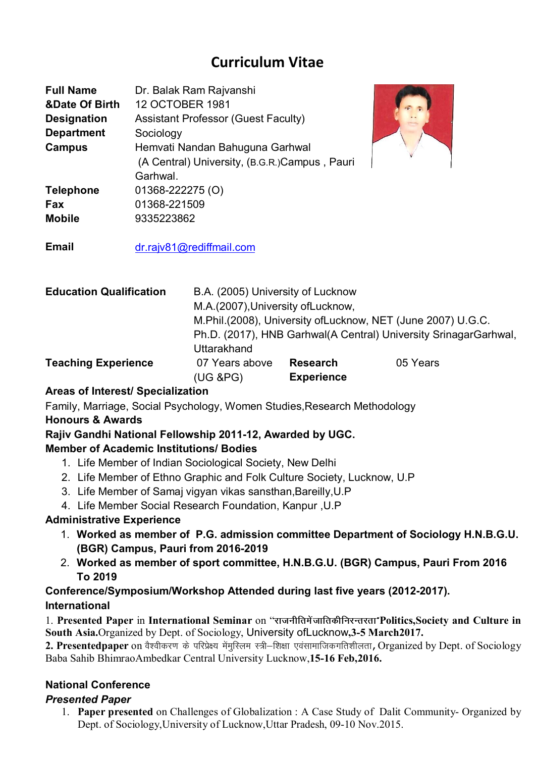# **Curriculum Vitae**

| <b>Full Name</b><br><b>&amp;Date Of Birth</b><br><b>Designation</b><br><b>Department</b><br><b>Campus</b> | Dr. Balak Ram Rajvanshi<br><b>12 OCTOBER 1981</b><br><b>Assistant Professor (Guest Faculty)</b><br>Sociology<br>Hemvati Nandan Bahuguna Garhwal<br>(A Central) University, (B.G.R.)Campus, Pauri<br>Garhwal. |
|-----------------------------------------------------------------------------------------------------------|--------------------------------------------------------------------------------------------------------------------------------------------------------------------------------------------------------------|
| <b>Telephone</b>                                                                                          | 01368-222275 (O)                                                                                                                                                                                             |
| Fax                                                                                                       | 01368-221509                                                                                                                                                                                                 |
| <b>Mobile</b>                                                                                             | 9335223862                                                                                                                                                                                                   |

**Email** dr.rajv81@rediffmail.com

| <b>Education Qualification</b> | B.A. (2005) University of Lucknow                                |                   |          |  |
|--------------------------------|------------------------------------------------------------------|-------------------|----------|--|
|                                | M.A.(2007), University of Lucknow,                               |                   |          |  |
|                                | M.Phil.(2008), University of Lucknow, NET (June 2007) U.G.C.     |                   |          |  |
|                                | Ph.D. (2017), HNB Garhwal(A Central) University SrinagarGarhwal, |                   |          |  |
|                                | <b>Uttarakhand</b>                                               |                   |          |  |
| <b>Teaching Experience</b>     | 07 Years above                                                   | <b>Research</b>   | 05 Years |  |
|                                | $(UG$ &PG $)$                                                    | <b>Experience</b> |          |  |

# **Areas of Interest/ Specialization**

Family, Marriage, Social Psychology, Women Studies,Research Methodology

# **Honours & Awards**

# **Rajiv Gandhi National Fellowship 2011-12, Awarded by UGC.**

## **Member of Academic Institutions/ Bodies**

- 1. Life Member of Indian Sociological Society, New Delhi
- 2. Life Member of Ethno Graphic and Folk Culture Society, Lucknow, U.P
- 3. Life Member of Samaj vigyan vikas sansthan,Bareilly,U.P
- 4. Life Member Social Research Foundation, Kanpur ,U.P

## **Administrative Experience**

- 1. **Worked as member of P.G. admission committee Department of Sociology H.N.B.G.U. (BGR) Campus, Pauri from 2016-2019**
- 2. **Worked as member of sport committee, H.N.B.G.U. (BGR) Campus, Pauri From 2016 To 2019**

## **Conference/Symposium/Workshop Attended during last five years (2012-2017). International**

1. Presented Paper in International Seminar on "राजनीतिमें जातिकीनिरन्तरता"Politics, Society and Culture in **South Asia.**Organized by Dept. of Sociology, University ofLucknow**,3-5 March2017.**

2. Presentedpaper on वैश्वीकरण के परिप्रेक्ष्य मेंमुस्लिम स्त्री-शिक्षा एवंसामाजिकगतिशीलता, Organized by Dept. of Sociology Baba Sahib BhimraoAmbedkar Central University Lucknow,**15-16 Feb,2016.**

# **National Conference**

## *Presented Paper*

1. **Paper presented** on Challenges of Globalization : A Case Study of Dalit Community- Organized by Dept. of Sociology,University of Lucknow,Uttar Pradesh, 09-10 Nov.2015.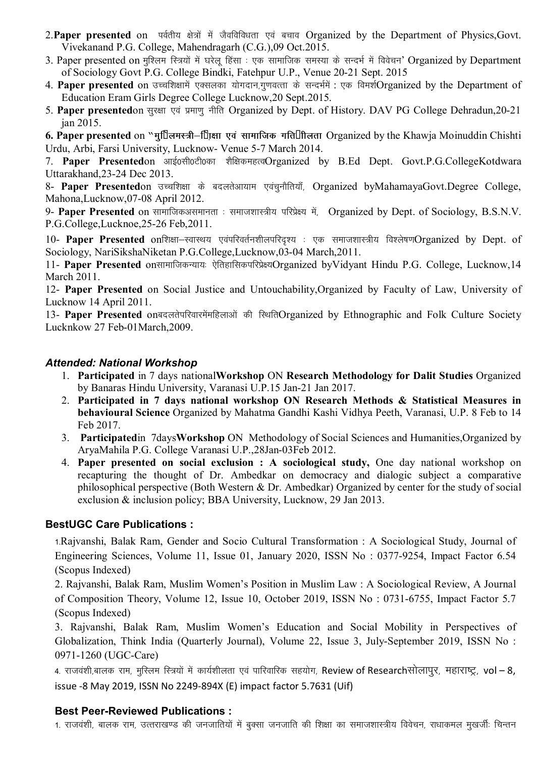- 2. Paper presented on **ughtha and interpreted** by the Department of Physics, Govt. Vivekanand P.G. College, Mahendragarh (C.G.),09 Oct.2015.
- 3. Paper presented on मुश्लिम स्त्रियों में घरेलू हिंसा : एक सामाजिक समस्या के सन्दर्भ में विवेचन' Organized by Department of Sociology Govt P.G. College Bindki, Fatehpur U.P., Venue 20-21 Sept. 2015
- 4. Paper presented on उच्चशिक्षामें एक्सलका योगदान,गुणवत्ता के सन्दर्भमें : एक विमर्शOrganized by the Department of Education Eram Girls Degree College Lucknow,20 Sept.2015.
- 5. Paper presentedon सुरक्षा एवं प्रमाणु नीति Organized by Dept. of History. DAV PG College Dehradun,20-21 jan 2015.

**6. Paper presented** on "मू" लमस्त्री–<sup>™</sup> एसा एवं सामाजिक गति" गिलता Organized by the Khawja Moinuddin Chishti Urdu, Arbi, Farsi University, Lucknow- Venue 5-7 March 2014.

7. Paper Presentedon आई0सी0टी0का शैक्षिकमहत्वOrganized by B.Ed Dept. Govt.P.G.CollegeKotdwara Uttarakhand,23-24 Dec 2013.

8- Paper Presentedon उच्चशिक्षा के बदलतेआयाम एवंचुनौतियाँ, Organized byMahamayaGovt.Degree College, Mahona,Lucknow,07-08 April 2012.

9- Paper Presented on सामाजिकअसमानता : समाजशास्त्रीय परिप्रेक्ष्य में, Organized by Dept. of Sociology, B.S.N.V. P.G.College,Lucknoe,25-26 Feb,2011.

10- **Paper Presented** onशिक्षा-स्वास्थय एवपरिवर्तनशीलपरिदृश्य : एक समाजशास्त्रीय विश्लेषणOrganized by Dept. of Sociology, NariSikshaNiketan P.G.College,Lucknow,03-04 March,2011.

11- Paper Presented onसामाजिकन्यायः ऐतिहासिकपरिप्रेक्ष्यOrganized byVidyant Hindu P.G. College, Lucknow,14 March 2011.

12- **Paper Presented** on Social Justice and Untouchability,Organized by Faculty of Law, University of Lucknow 14 April 2011.

13- Paper Presented onबदलतेपरिवारमेंमहिलाओं की स्थितिOrganized by Ethnographic and Folk Culture Society Lucknkow 27 Feb-01March,2009.

#### *Attended: National Workshop*

- 1. **Participated** in 7 days national**Workshop** ON **Research Methodology for Dalit Studies** Organized by Banaras Hindu University, Varanasi U.P.15 Jan-21 Jan 2017.
- 2. **Participated in 7 days national workshop ON Research Methods & Statistical Measures in behavioural Science** Organized by Mahatma Gandhi Kashi Vidhya Peeth, Varanasi, U.P. 8 Feb to 14 Feb 2017.
- 3. **Participated**in 7days**Workshop** ON Methodology of Social Sciences and Humanities,Organized by AryaMahila P.G. College Varanasi U.P.,28Jan-03Feb 2012.
- 4. **Paper presented on social exclusion : A sociological study,** One day national workshop on recapturing the thought of Dr. Ambedkar on democracy and dialogic subject a comparative philosophical perspective (Both Western & Dr. Ambedkar) Organized by center for the study of social exclusion & inclusion policy; BBA University, Lucknow, 29 Jan 2013.

## **BestUGC Care Publications :**

1-Rajvanshi, Balak Ram, Gender and Socio Cultural Transformation : A Sociological Study, Journal of Engineering Sciences, Volume 11, Issue 01, January 2020, ISSN No : 0377-9254, Impact Factor 6.54 (Scopus Indexed)

2. Rajvanshi, Balak Ram, Muslim Women's Position in Muslim Law : A Sociological Review, A Journal of Composition Theory, Volume 12, Issue 10, October 2019, ISSN No : 0731-6755, Impact Factor 5.7 (Scopus Indexed)

3. Rajvanshi, Balak Ram, Muslim Women's Education and Social Mobility in Perspectives of Globalization, Think India (Quarterly Journal), Volume 22, Issue 3, July-September 2019, ISSN No : 0971-1260 (UGC-Care)

4. राजवंशी,बालक राम, मुस्लिम स्त्रियों में कार्यशीलता एवं पारिवारिक सहयोग, Review of Researchसोलापूर, महाराष्ट्र, vol – 8, issue -8 May 2019, ISSN No 2249-894X (E) impact factor 5.7631 (Uif)

#### **Best Peer-Reviewed Publications :**

1. राजवंशी, बालक राम, उत्तराखण्ड की जनजातियों में बुक्सा जनजाति की शिक्षा का समाजशास्त्रीय विवेचन, राधाकमल मुखर्जीः चिन्तन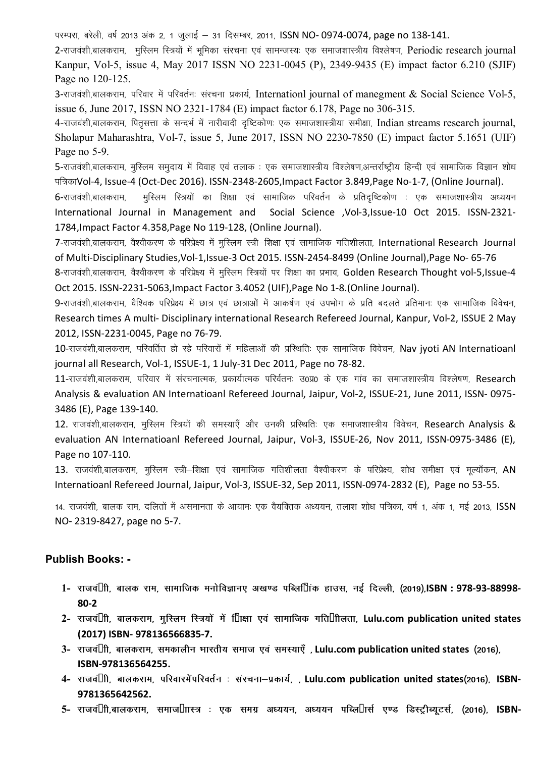परम्परा, बरेली, वर्ष 2013 अंक 2, 1 जलाई – 31 दिसम्बर, 2011, ISSN NO- 0974-0074, page no 138-141.

2-राजवंशी,बालकराम, मुस्लिम स्त्रियों में भूमिका संरचना एवं सामन्जस्यः एक समाजशास्त्रीय विश्लेषण, Periodic research journal Kanpur, Vol-5, issue 4, May 2017 ISSN NO 2231-0045 (P), 2349-9435 (E) impact factor 6.210 (SJIF) Page no 120-125.

3-राजवंशी,बालकराम, परिवार में परिवर्तनः संरचना प्रकार्य, Internationl journal of manegment & Social Science Vol-5, issue 6, June 2017, ISSN NO 2321-1784 (E) impact factor 6.178, Page no 306-315.

4-राजवंशी,बालकराम, पितृसत्ता के सन्दर्भ में नारीवादी दृष्टिकोणः एक समाजशास्त्रीया समीक्षा, Indian streams research journal, Sholapur Maharashtra, Vol-7, issue 5, June 2017, ISSN NO 2230-7850 (E) impact factor 5.1651 (UIF) Page no 5-9.

5-राजवंशी.बालकराम, मस्लिम समदाय में विवाह एवं तलाक : एक समाजशास्त्रीय विश्लेषण.अन्तर्राष्टीय हिन्दी एवं सामाजिक विज्ञान शोध पत्रिकाVol-4, Issue-4 (Oct-Dec 2016). ISSN-2348-2605,Impact Factor 3.849,Page No-1-7, (Online Journal).

6-राजवंशी,बालकराम, मुस्लिम स्त्रियों का शिक्षा एवं सामाजिक परिवर्तन के प्रतिदृष्टिकोण : एक समाजशास्त्रीय अध्ययन International Journal in Management and Social Science ,Vol-3,Issue-10 Oct 2015. ISSN-2321- 1784,Impact Factor 4.358,Page No 119-128, (Online Journal).

7-राजवंशी,बालकराम, वैश्वीकरण के परिप्रेक्ष्य में मुस्लिम स्त्री–शिक्षा एवं सामाजिक गतिशीलता, International Research Journal of Multi-Disciplinary Studies,Vol-1,Issue-3 Oct 2015. ISSN-2454-8499 (Online Journal),Page No- 65-76

8-राजवंशी,बालकराम, वैश्वीकरण के परिप्रेक्ष्य में मुस्लिम स्त्रियों पर शिक्षा का प्रभाव, Golden Research Thought vol-5,Issue-4 Oct 2015. ISSN-2231-5063,Impact Factor 3.4052 (UIF),Page No 1-8.(Online Journal).

9-राजवंशी,बालकराम, वैश्विक परिप्रेक्ष्य में छात्र एवं छात्राओं में आकर्षण एवं उपभोग के प्रति बदलते प्रतिमानः एक सामाजिक विवेचन, Research times A multi- Disciplinary international Research Refereed Journal, Kanpur, Vol-2, ISSUE 2 May 2012, ISSN-2231-0045, Page no 76-79.

10-राजवंशी,बालकराम, परिवर्तित हो रहे परिवारों में महिलाओं की प्रस्थितिः एक सामाजिक विवेचन, Nav jyoti AN Internatioanl journal all Research, Vol-1, ISSUE-1, 1 July-31 Dec 2011, Page no 78-82.

 $11$ -राजवंशी,बालकराम, परिवार में संरचनात्मक, प्रकार्यात्मक परिर्वतनः उ0प्र0 के एक गांव का समाजशास्त्रीय विश्लेषण, Research Analysis & evaluation AN Internatioanl Refereed Journal, Jaipur, Vol-2, ISSUE-21, June 2011, ISSN- 0975- 3486 (E), Page 139-140.

12. राजवंशी,बालकराम, मुस्लिम स्त्रियों की समस्याएँ और उनकी प्रस्थितिः एक समाजशास्त्रीय विवेचन, Research Analysis & evaluation AN Internatioanl Refereed Journal, Jaipur, Vol-3, ISSUE-26, Nov 2011, ISSN-0975-3486 (E), Page no 107-110.

 $13$ . राजवंशी,बालकराम, मुस्लिम स्त्री—शिक्षा एवं सामाजिक गतिशीलता वैश्वीकरण के परिप्रेक्ष्य, शोध समीक्षा एवं मुल्याँकन, AN Internatioanl Refereed Journal, Jaipur, Vol-3, ISSUE-32, Sep 2011, ISSN-0974-2832 (E), Page no 53-55.

14. राजवंशी, बालक राम, दलितों में असमानता के आयामः एक वैयक्तिक अध्ययन, तलाश शोध पत्रिका, वर्ष 1, अंक 1, मई 2013, ISSN NO- 2319-8427, page no 5-7.

#### **Publish Books: -**

- **1- jktoa"kh] ckyd jke] lkekftd euksfoKku, v[k.M ifCyf"kad gkml] ubZ fnYyh] ¼2019½]ISBN : 978-93-88998- 80-2**
- **2- jktoa"kh] ckydjke] eqfLye fL=;ksa esa f"k{kk ,oa lkekftd xfr"khyrk] Lulu.com publication united states (2017) ISBN- 978136566835-7.**
- **3- jktoa"kh] ckydjke] ledkyhu Hkkjrh; lekt ,oa leL;k,¡ ] Lulu.com publication united states ¼2016½] ISBN-978136564255.**
- **4- jktoa"kh] ckydjke] ifjokjesaifjorZu % lajpuk&izdk;Z] ] Lulu.com publication united states¼2016½] ISBN-9781365642562.**
- 5- राजव"ी,बालकराम, समाज"ास्त्र : एक समग्र अध्ययन, अध्ययन पब्लि"ार्स एण्ड डिस्ट्रीब्यूटर्स, (2016), ISBN-